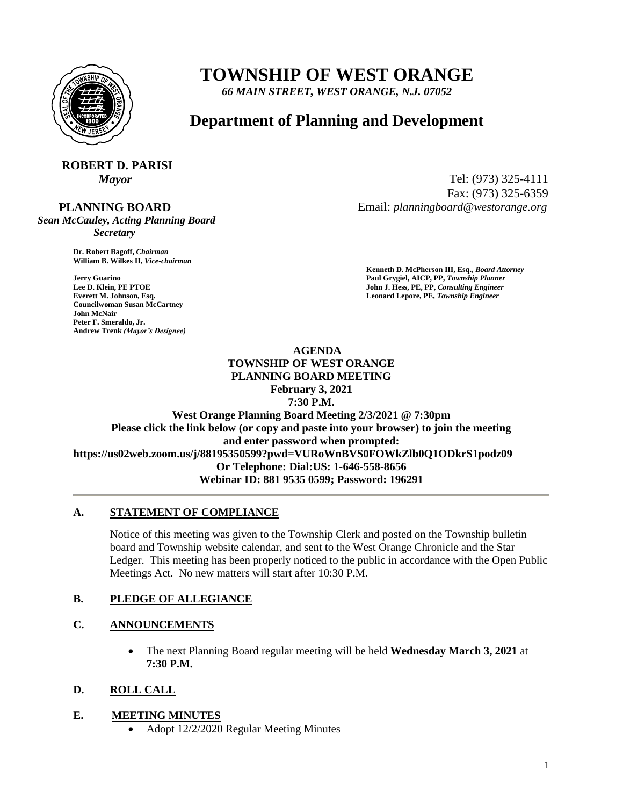

# **TOWNSHIP OF WEST ORANGE**

*66 MAIN STREET, WEST ORANGE, N.J. 07052*

## **Department of Planning and Development**

## **ROBERT D. PARISI**

#### **PLANNING BOARD**

*Sean McCauley, Acting Planning Board Secretary*

> **Dr. Robert Bagoff,** *Chairman*  **William B. Wilkes II,** *Vice-chairman*

**Councilwoman Susan McCartney John McNair Peter F. Smeraldo, Jr. Andrew Trenk** *(Mayor's Designee)*

*Mayor* Tel: (973) 325-4111 Fax: (973) 325-6359 Email: *planningboard@westorange.org*

**Kenneth D. McPherson III, Esq.,** *Board Attorney*  **Jerry Guarino Paul Grygiel, AICP, PP,** *Township Planner*  **Lee D. Klein, PE PTOE** John J. Hess, PE, PP, *Consulting Engineer* John J. Hess, PE, PP, *Consulting Engineer* **Everett M. Johnson, Esq.** Leonard Lepore, PE, Township Engineer

## **AGENDA TOWNSHIP OF WEST ORANGE PLANNING BOARD MEETING**

**February 3, 2021**

**7:30 P.M. West Orange Planning Board Meeting 2/3/2021 @ 7:30pm Please click the link below (or copy and paste into your browser) to join the meeting and enter password when prompted: https://us02web.zoom.us/j/88195350599?pwd=VURoWnBVS0FOWkZlb0Q1ODkrS1podz09 Or Telephone: Dial:US: 1-646-558-8656 Webinar ID: 881 9535 0599; Password: 196291**

## **A. STATEMENT OF COMPLIANCE**

Notice of this meeting was given to the Township Clerk and posted on the Township bulletin board and Township website calendar, and sent to the West Orange Chronicle and the Star Ledger. This meeting has been properly noticed to the public in accordance with the Open Public Meetings Act. No new matters will start after 10:30 P.M.

## **B. PLEDGE OF ALLEGIANCE**

## **C. ANNOUNCEMENTS**

 The next Planning Board regular meeting will be held **Wednesday March 3, 2021** at **7:30 P.M.**

#### **D. ROLL CALL**

#### **E. MEETING MINUTES**

Adopt 12/2/2020 Regular Meeting Minutes